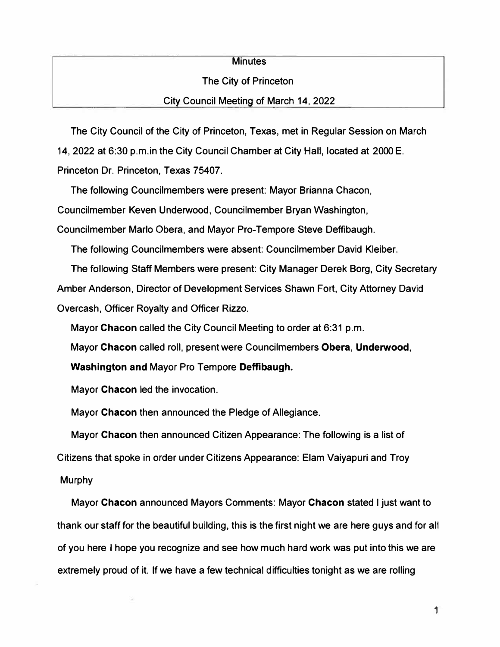## **Minutes**

## The City of Princeton

## City Council Meeting of March 14, 2022

The City Council of the City of Princeton, Texas, met in Regular Session on March

14, 2022 at 6:30 p.m.in the City Council Chamber at City Hall, located at 2000 E.

Princeton Dr. Princeton, Texas 75407.

The following Councilmembers were present: Mayor Brianna Chacon,

Councilmember Keven Underwood, Councllmember Bryan Washington,

Councilmember Marlo Obera, and Mayor Pro-Tempore Steve Deffibaugh.

The following Councilmembers were absent: Councilmember David Kleiber.

The following Staff Members were present: City Manager Derek Borg, City Secretary Amber Anderson, Director of Development Services Shawn Fort, City Attorney David Overcash, Officer Royalty and Officer Rizzo.

Mayor **Chacon** called the City Council Meeting to order at 6:31 p.m.

Mayor **Chacon** called roll, present were Councilmembers **Obera, Underwood,** 

**Washington and** Mayor Pro Tempore **Deffibaugh.** 

Mayor **Chacon** led the invocation.

Mayor **Chacon** then announced the Pledge of Allegiance.

Mayor **Chacon** then announced Citizen Appearance: The following is a list of Citizens that spoke in order under Citizens Appearance: Elam Vaiyapuri and Troy

**Murphy** 

Mayor **Chacon** announced Mayors Comments: Mayor **Chacon** stated I just want to thank our staff for the beautiful building, this is the first night we are here guys and for all of you here I hope you recognize and see how much hard work was put into this we are extremely proud of it. If we have a few technical difficulties tonight as we are rolling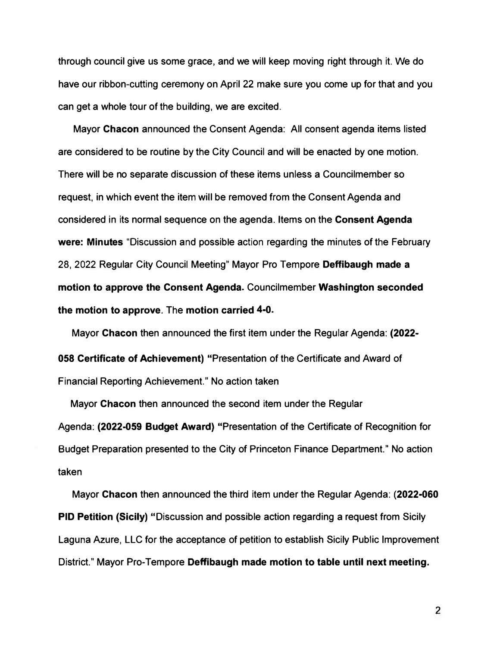**through council give us some grace, and we will keep moving right through it. We do have our ribbon-cutting ceremony on April 22 make sure you come up for that and you can get a whole tour of the building, we are excited.** 

**Mayor Chacon announced the Consent Agenda: All consent agenda items listed are considered to be routine by the City Council and will be enacted by one motion. There will be no separate discussion of these items unless a Councilmember so request, in which event the item will be removed from the Consent Agenda and considered in its normal sequence on the agenda. Items on the Consent Agenda were: Minutes "Discussion and possible action regarding the minutes of the February 28, 2022 Regular City Council Meeting" Mayor Pro Tempore Deffibaugh made a motion to approve the Consent Agenda. Councilmember Washington seconded the motion to approve. The motion carried 4-0.** 

**Mayor Chacon then announced the first item under the Regular Agenda: (2022- 058 Certificate of Achievement) "Presentation of the Certificate and Award of Financial Reporting Achievement." No action taken** 

**Mayor Chacon then announced the second item under the Regular Agenda: (2022-059 Budget Award) "Presentation of the Certificate of Recognition for Budget Preparation presented to the City of Princeton Finance Department." No action taken** 

**Mayor Chacon then announced the third item under the Regular Agenda: (2022-060 PID Petition (Sicily) "Discussion and possible action regarding a request from Sicily Laguna Azure, LLC for the acceptance of petition to establish Sicily Public Improvement District." Mayor Pro-Tempore Deffibaugh made motion to table until next meeting.** 

2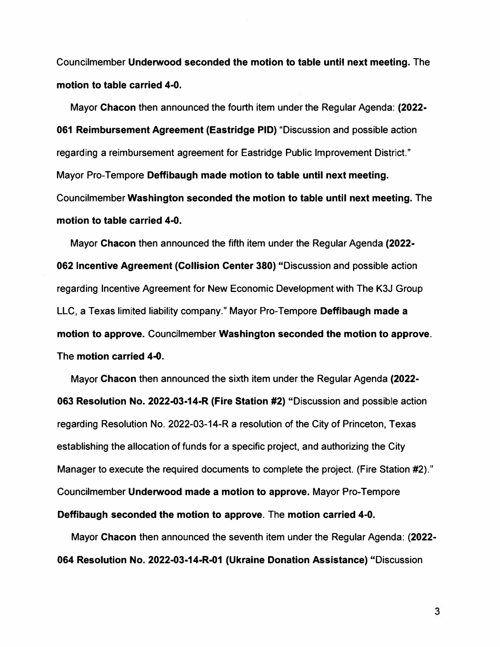**Councilmember Underwood seconded the motion to table until next meeting. The motion to table carried 4-0.** 

**Mayor Chacon then announced the fourth item under the Regular Agenda: (2022- 061 Reimbursement Agreement (Eastridge PID) "Discussion and possible action regarding a reimbursement agreement for Eastridge Public Improvement District." Mayor Pro-Tempore Deffibaugh made motion to table until next meeting. Councilmember Washington seconded the motion to table until next meeting. The motion to table carried 4-0.** 

**Mayor Chacon then announced the fifth item under the Regular Agenda (2022- 062 Incentive Agreement (Collision Center 380) "Discussion and possible action regarding Incentive Agreement for New Economic Development with The K3J Group LLC, a Texas limited liability company." Mayor Pro-Tempore Deffibaugh made a motion to approve. Councilmember Washington seconded the motion to approve. The motion carried 4-0.** 

**Mayor Chacon then announced the sixth item under the Regular Agenda (2022- 063 Resolution No. 2022-03-14-R (Fire Station #2) "Discussion and possible action regarding Resolution No. 2022-03-14-R a resolution of the City of Princeton, Texas establishing the allocation of funds for a specific project, and authorizing the City Manager to execute the required documents to complete the project. (Fire Station #2)." Councilmember Underwood made a motion to approve. Mayor Pro-Tempore Deffibaugh seconded the motion to approve. The motion carried 4-0.** 

**Mayor Chacon then announced the seventh item under the Regular Agenda: (2022- 064 Resolution No. 2022-03-14-R-01 (Ukraine Donation Assistance) "Discussion** 

**3**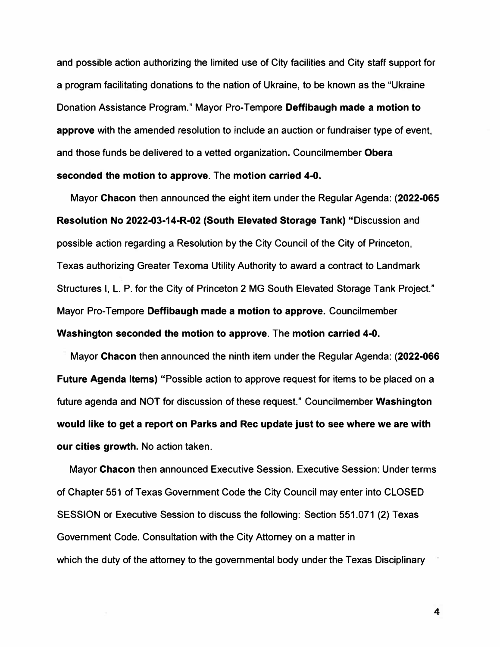**and possible action authorizing the limited use of City facilities and City staff support for a program facilitating donations to the nation of Ukraine, to be known as the "Ukraine Donation Assistance Program." Mayor Pro-Tempore Deffibaugh made a motion to approve with the amended resolution to include an auction or fundraiser type of event, and those funds be delivered to a vetted organization. Councilmember Obera seconded the motion to approve. The motion carried 4-0.** 

**Mayor Chacon then announced the eight item under the Regular Agenda: (2022-065 Resolution No 2022-03-14-R-02 (South Elevated Storage Tank) "Discussion and possible action regarding a Resolution by the City Council of the City of Princeton, Texas authorizing Greater Texoma Utility Authority to award a contract to Landmark Structures I, L. P. for the City of Princeton 2 MG South Elevated Storage Tank Project." Mayor Pro-Tempore Deffibaugh made a motion to approve. Councilmember Washington seconded the motion to approve. The motion carried 4-0.** 

**Mayor Chacon then announced the ninth item under the Regular Agenda: (2022-066 Future Agenda Items) "Possible action to approve request for items to be placed on a future agenda and NOT for discussion of these request." Councilmember Washington would like to get a report on Parks and Rec update just to see where we are with our cities growth. No action taken.** 

**Mayor Chacon then announced Executive Session. Executive Session: Under terms of Chapter 551 of Texas Government Code the City Council may enter into CLOSED SESSION or Executive Session to discuss the following: Section 551.071 (2) Texas Government Code. Consultation with the City Attorney on a matter in which the duty of the attorney to the governmental body under the Texas Disciplinary** 

**4**